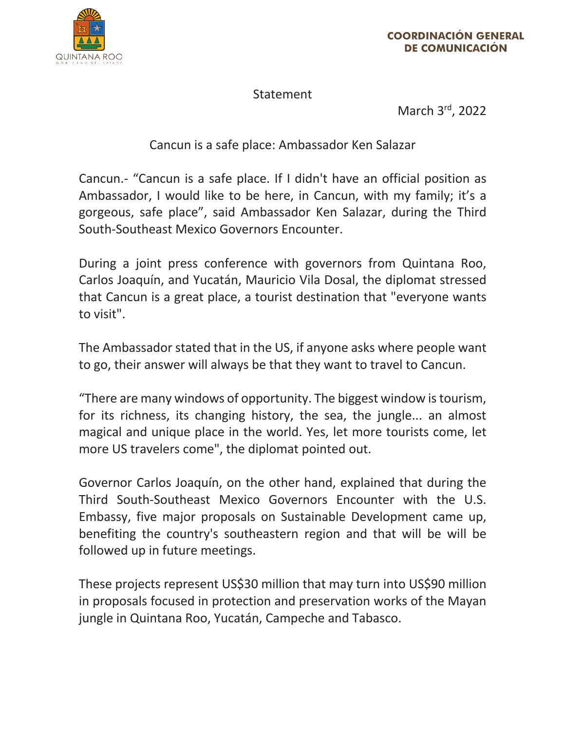

**Statement** 

March 3rd, 2022

## Cancun is a safe place: Ambassador Ken Salazar

Cancun.- "Cancun is a safe place. If I didn't have an official position as Ambassador, I would like to be here, in Cancun, with my family; it's a gorgeous, safe place", said Ambassador Ken Salazar, during the Third South-Southeast Mexico Governors Encounter.

During a joint press conference with governors from Quintana Roo, Carlos Joaquín, and Yucatán, Mauricio Vila Dosal, the diplomat stressed that Cancun is a great place, a tourist destination that "everyone wants to visit".

The Ambassador stated that in the US, if anyone asks where people want to go, their answer will always be that they want to travel to Cancun.

"There are many windows of opportunity. The biggest window is tourism, for its richness, its changing history, the sea, the jungle... an almost magical and unique place in the world. Yes, let more tourists come, let more US travelers come", the diplomat pointed out.

Governor Carlos Joaquín, on the other hand, explained that during the Third South-Southeast Mexico Governors Encounter with the U.S. Embassy, five major proposals on Sustainable Development came up, benefiting the country's southeastern region and that will be will be followed up in future meetings.

These projects represent US\$30 million that may turn into US\$90 million in proposals focused in protection and preservation works of the Mayan jungle in Quintana Roo, Yucatán, Campeche and Tabasco.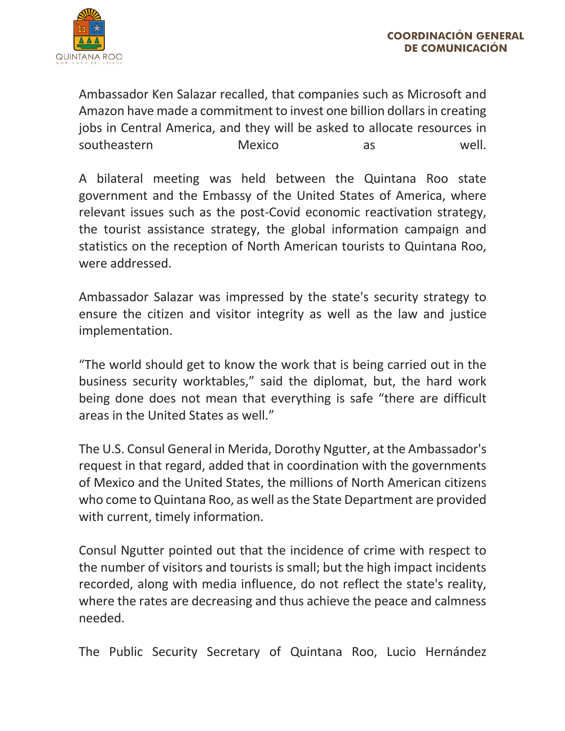

Ambassador Ken Salazar recalled, that companies such as Microsoft and Amazon have made a commitment to invest one billion dollars in creating jobs in Central America, and they will be asked to allocate resources in southeastern Mexico as well.

A bilateral meeting was held between the Quintana Roo state government and the Embassy of the United States of America, where relevant issues such as the post-Covid economic reactivation strategy, the tourist assistance strategy, the global information campaign and statistics on the reception of North American tourists to Quintana Roo, were addressed.

Ambassador Salazar was impressed by the state's security strategy to ensure the citizen and visitor integrity as well as the law and justice implementation.

"The world should get to know the work that is being carried out in the business security worktables," said the diplomat, but, the hard work being done does not mean that everything is safe "there are difficult areas in the United States as well."

The U.S. Consul General in Merida, Dorothy Ngutter, at the Ambassador's request in that regard, added that in coordination with the governments of Mexico and the United States, the millions of North American citizens who come to Quintana Roo, as well as the State Department are provided with current, timely information.

Consul Ngutter pointed out that the incidence of crime with respect to the number of visitors and tourists is small; but the high impact incidents recorded, along with media influence, do not reflect the state's reality, where the rates are decreasing and thus achieve the peace and calmness needed.

The Public Security Secretary of Quintana Roo, Lucio Hernández